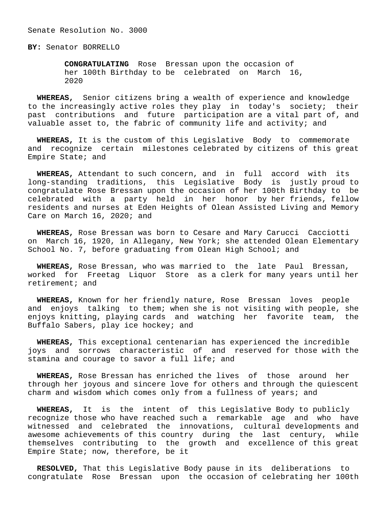Senate Resolution No. 3000

**BY:** Senator BORRELLO

 **CONGRATULATING** Rose Bressan upon the occasion of her 100th Birthday to be celebrated on March 16, 2020

 **WHEREAS,** Senior citizens bring a wealth of experience and knowledge to the increasingly active roles they play in today's society; their past contributions and future participation are a vital part of, and valuable asset to, the fabric of community life and activity; and

 **WHEREAS,** It is the custom of this Legislative Body to commemorate and recognize certain milestones celebrated by citizens of this great Empire State; and

 **WHEREAS,** Attendant to such concern, and in full accord with its long-standing traditions, this Legislative Body is justly proud to congratulate Rose Bressan upon the occasion of her 100th Birthday to be celebrated with a party held in her honor by her friends, fellow residents and nurses at Eden Heights of Olean Assisted Living and Memory Care on March 16, 2020; and

 **WHEREAS,** Rose Bressan was born to Cesare and Mary Carucci Cacciotti on March 16, 1920, in Allegany, New York; she attended Olean Elementary School No. 7, before graduating from Olean High School; and

 **WHEREAS,** Rose Bressan, who was married to the late Paul Bressan, worked for Freetag Liquor Store as a clerk for many years until her retirement; and

 **WHEREAS,** Known for her friendly nature, Rose Bressan loves people and enjoys talking to them; when she is not visiting with people, she enjoys knitting, playing cards and watching her favorite team, the Buffalo Sabers, play ice hockey; and

 **WHEREAS,** This exceptional centenarian has experienced the incredible joys and sorrows characteristic of and reserved for those with the stamina and courage to savor a full life; and

 **WHEREAS,** Rose Bressan has enriched the lives of those around her through her joyous and sincere love for others and through the quiescent charm and wisdom which comes only from a fullness of years; and

 **WHEREAS,** It is the intent of this Legislative Body to publicly recognize those who have reached such a remarkable age and who have witnessed and celebrated the innovations, cultural developments and awesome achievements of this country during the last century, while themselves contributing to the growth and excellence of this great Empire State; now, therefore, be it

 **RESOLVED,** That this Legislative Body pause in its deliberations to congratulate Rose Bressan upon the occasion of celebrating her 100th